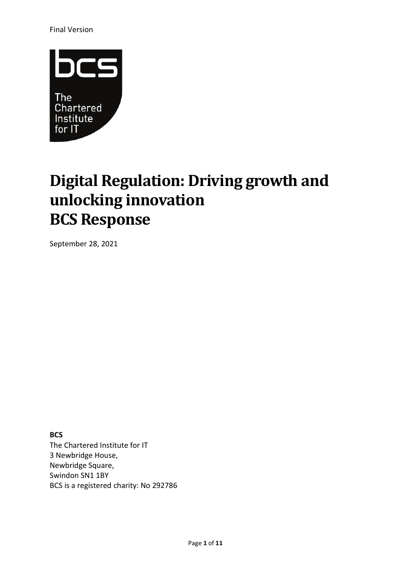Final Version



# **Digital Regulation: Driving growth and unlocking innovation BCS Response**

September 28, 2021

**BCS** The Chartered Institute for IT 3 Newbridge House, Newbridge Square, Swindon SN1 1BY BCS is a registered charity: No 292786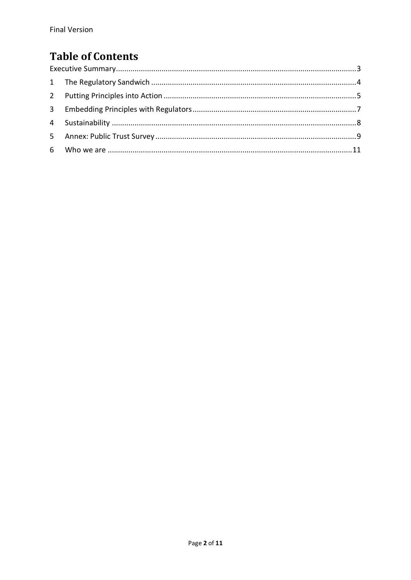## **Table of Contents**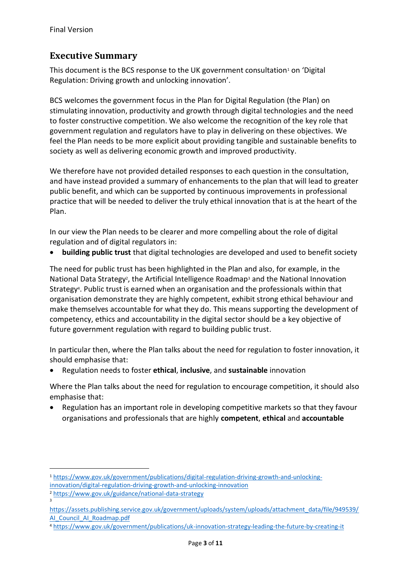#### <span id="page-2-0"></span>**Executive Summary**

This document is the BCS response to the UK government consultation<sup>1</sup> on 'Digital Regulation: Driving growth and unlocking innovation'.

BCS welcomes the government focus in the Plan for Digital Regulation (the Plan) on stimulating innovation, productivity and growth through digital technologies and the need to foster constructive competition. We also welcome the recognition of the key role that government regulation and regulators have to play in delivering on these objectives. We feel the Plan needs to be more explicit about providing tangible and sustainable benefits to society as well as delivering economic growth and improved productivity.

We therefore have not provided detailed responses to each question in the consultation, and have instead provided a summary of enhancements to the plan that will lead to greater public benefit, and which can be supported by continuous improvements in professional practice that will be needed to deliver the truly ethical innovation that is at the heart of the Plan.

In our view the Plan needs to be clearer and more compelling about the role of digital regulation and of digital regulators in:

• **building public trust** that digital technologies are developed and used to benefit society

The need for public trust has been highlighted in the Plan and also, for example, in the National Data Strategy<sup>2</sup>, the Artificial Intelligence Roadmap<sup>3</sup> and the National Innovation Strategy<sup>4</sup>. Public trust is earned when an organisation and the professionals within that organisation demonstrate they are highly competent, exhibit strong ethical behaviour and make themselves accountable for what they do. This means supporting the development of competency, ethics and accountability in the digital sector should be a key objective of future government regulation with regard to building public trust.

In particular then, where the Plan talks about the need for regulation to foster innovation, it should emphasise that:

• Regulation needs to foster **ethical**, **inclusive**, and **sustainable** innovation

Where the Plan talks about the need for regulation to encourage competition, it should also emphasise that:

• Regulation has an important role in developing competitive markets so that they favour organisations and professionals that are highly **competent**, **ethical** and **accountable**

<sup>1</sup> [https://www.gov.uk/government/publications/digital-regulation-driving-growth-and-unlocking](https://www.gov.uk/government/publications/digital-regulation-driving-growth-and-unlocking-innovation/digital-regulation-driving-growth-and-unlocking-innovation)[innovation/digital-regulation-driving-growth-and-unlocking-innovation](https://www.gov.uk/government/publications/digital-regulation-driving-growth-and-unlocking-innovation/digital-regulation-driving-growth-and-unlocking-innovation) <sup>2</sup> <https://www.gov.uk/guidance/national-data-strategy>

<sup>3</sup>

[https://assets.publishing.service.gov.uk/government/uploads/system/uploads/attachment\\_data/file/949539/](https://assets.publishing.service.gov.uk/government/uploads/system/uploads/attachment_data/file/949539/AI_Council_AI_Roadmap.pdf) [AI\\_Council\\_AI\\_Roadmap.pdf](https://assets.publishing.service.gov.uk/government/uploads/system/uploads/attachment_data/file/949539/AI_Council_AI_Roadmap.pdf)

<sup>4</sup> <https://www.gov.uk/government/publications/uk-innovation-strategy-leading-the-future-by-creating-it>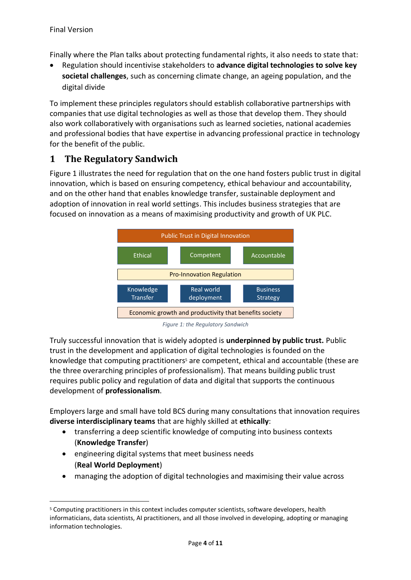Finally where the Plan talks about protecting fundamental rights, it also needs to state that:

• Regulation should incentivise stakeholders to **advance digital technologies to solve key societal challenges**, such as concerning climate change, an ageing population, and the digital divide

To implement these principles regulators should establish collaborative partnerships with companies that use digital technologies as well as those that develop them. They should also work collaboratively with organisations such as learned societies, national academies and professional bodies that have expertise in advancing professional practice in technology for the benefit of the public.

#### <span id="page-3-0"></span>**1 The Regulatory Sandwich**

[Figure 1](#page-3-1) illustrates the need for regulation that on the one hand fosters public trust in digital innovation, which is based on ensuring competency, ethical behaviour and accountability, and on the other hand that enables knowledge transfer, sustainable deployment and adoption of innovation in real world settings. This includes business strategies that are focused on innovation as a means of maximising productivity and growth of UK PLC.



*Figure 1: the Regulatory Sandwich*

<span id="page-3-1"></span>Truly successful innovation that is widely adopted is **underpinned by public trust.** Public trust in the development and application of digital technologies is founded on the knowledge that computing practitioners<sup>5</sup> are competent, ethical and accountable (these are the three overarching principles of professionalism). That means building public trust requires public policy and regulation of data and digital that supports the continuous development of **professionalism**.

Employers large and small have told BCS during many consultations that innovation requires **diverse interdisciplinary teams** that are highly skilled at **ethically**:

- transferring a deep scientific knowledge of computing into business contexts (**Knowledge Transfer**)
- engineering digital systems that meet business needs (**Real World Deployment**)
- managing the adoption of digital technologies and maximising their value across

<sup>5</sup> Computing practitioners in this context includes computer scientists, software developers, health informaticians, data scientists, AI practitioners, and all those involved in developing, adopting or managing information technologies.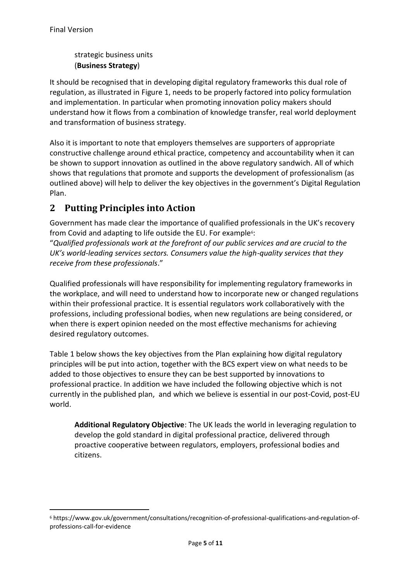strategic business units (**Business Strategy**)

It should be recognised that in developing digital regulatory frameworks this dual role of regulation, as illustrated in [Figure 1,](#page-3-1) needs to be properly factored into policy formulation and implementation. In particular when promoting innovation policy makers should understand how it flows from a combination of knowledge transfer, real world deployment and transformation of business strategy.

Also it is important to note that employers themselves are supporters of appropriate constructive challenge around ethical practice, competency and accountability when it can be shown to support innovation as outlined in the above regulatory sandwich. All of which shows that regulations that promote and supports the development of professionalism (as outlined above) will help to deliver the key objectives in the government's Digital Regulation Plan.

#### <span id="page-4-0"></span>**2 Putting Principles into Action**

Government has made clear the importance of qualified professionals in the UK's recovery from Covid and adapting to life outside the EU. For example<sup>6</sup>:

"*Qualified professionals work at the forefront of our public services and are crucial to the UK's world-leading services sectors. Consumers value the high-quality services that they receive from these professionals*."

Qualified professionals will have responsibility for implementing regulatory frameworks in the workplace, and will need to understand how to incorporate new or changed regulations within their professional practice. It is essential regulators work collaboratively with the professions, including professional bodies, when new regulations are being considered, or when there is expert opinion needed on the most effective mechanisms for achieving desired regulatory outcomes.

[Table 1](#page-6-1) below shows the key objectives from the Plan explaining how digital regulatory principles will be put into action, together with the BCS expert view on what needs to be added to those objectives to ensure they can be best supported by innovations to professional practice. In addition we have included the following objective which is not currently in the published plan, and which we believe is essential in our post-Covid, post-EU world.

**Additional Regulatory Objective**: The UK leads the world in leveraging regulation to develop the gold standard in digital professional practice, delivered through proactive cooperative between regulators, employers, professional bodies and citizens.

<sup>6</sup> https://www.gov.uk/government/consultations/recognition-of-professional-qualifications-and-regulation-ofprofessions-call-for-evidence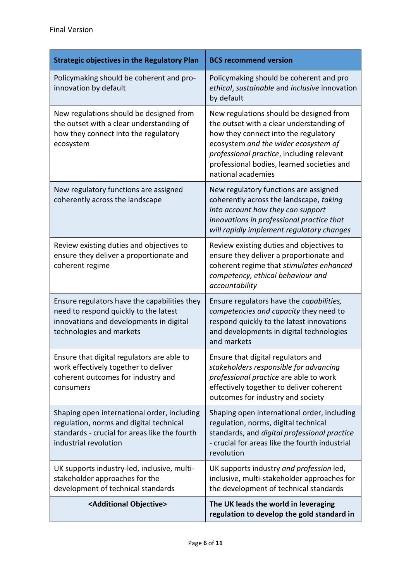| <b>Strategic objectives in the Regulatory Plan</b>                                                                                                               | <b>BCS recommend version</b>                                                                                                                                                                                                                                                         |
|------------------------------------------------------------------------------------------------------------------------------------------------------------------|--------------------------------------------------------------------------------------------------------------------------------------------------------------------------------------------------------------------------------------------------------------------------------------|
| Policymaking should be coherent and pro-<br>innovation by default                                                                                                | Policymaking should be coherent and pro<br>ethical, sustainable and inclusive innovation<br>by default                                                                                                                                                                               |
| New regulations should be designed from<br>the outset with a clear understanding of<br>how they connect into the regulatory<br>ecosystem                         | New regulations should be designed from<br>the outset with a clear understanding of<br>how they connect into the regulatory<br>ecosystem and the wider ecosystem of<br>professional practice, including relevant<br>professional bodies, learned societies and<br>national academies |
| New regulatory functions are assigned<br>coherently across the landscape                                                                                         | New regulatory functions are assigned<br>coherently across the landscape, taking<br>into account how they can support<br>innovations in professional practice that<br>will rapidly implement regulatory changes                                                                      |
| Review existing duties and objectives to<br>ensure they deliver a proportionate and<br>coherent regime                                                           | Review existing duties and objectives to<br>ensure they deliver a proportionate and<br>coherent regime that stimulates enhanced<br>competency, ethical behaviour and<br>accountability                                                                                               |
| Ensure regulators have the capabilities they<br>need to respond quickly to the latest<br>innovations and developments in digital<br>technologies and markets     | Ensure regulators have the capabilities,<br>competencies and capacity they need to<br>respond quickly to the latest innovations<br>and developments in digital technologies<br>and markets                                                                                           |
| Ensure that digital regulators are able to<br>work effectively together to deliver<br>coherent outcomes for industry and<br>consumers                            | Ensure that digital regulators and<br>stakeholders responsible for advancing<br>professional practice are able to work<br>effectively together to deliver coherent<br>outcomes for industry and society                                                                              |
| Shaping open international order, including<br>regulation, norms and digital technical<br>standards - crucial for areas like the fourth<br>industrial revolution | Shaping open international order, including<br>regulation, norms, digital technical<br>standards, and digital professional practice<br>- crucial for areas like the fourth industrial<br>revolution                                                                                  |
| UK supports industry-led, inclusive, multi-<br>stakeholder approaches for the<br>development of technical standards                                              | UK supports industry and profession led,<br>inclusive, multi-stakeholder approaches for<br>the development of technical standards                                                                                                                                                    |
| <additional objective=""></additional>                                                                                                                           | The UK leads the world in leveraging<br>regulation to develop the gold standard in                                                                                                                                                                                                   |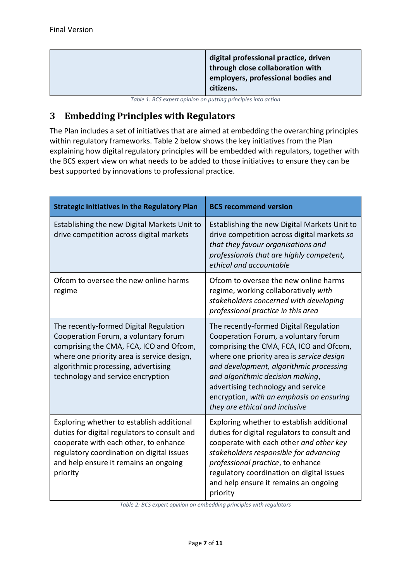|  | digital professional practice, driven<br>through close collaboration with<br>employers, professional bodies and<br>citizens. |
|--|------------------------------------------------------------------------------------------------------------------------------|
|--|------------------------------------------------------------------------------------------------------------------------------|

*Table 1: BCS expert opinion on putting principles into action*

### <span id="page-6-1"></span><span id="page-6-0"></span>**3 Embedding Principles with Regulators**

The Plan includes a set of initiatives that are aimed at embedding the overarching principles within regulatory frameworks. [Table 2](#page-6-2) below shows the key initiatives from the Plan explaining how digital regulatory principles will be embedded with regulators, together with the BCS expert view on what needs to be added to those initiatives to ensure they can be best supported by innovations to professional practice.

| <b>Strategic initiatives in the Regulatory Plan</b>                                                                                                                                                                                                 | <b>BCS recommend version</b>                                                                                                                                                                                                                                                                                                                                              |
|-----------------------------------------------------------------------------------------------------------------------------------------------------------------------------------------------------------------------------------------------------|---------------------------------------------------------------------------------------------------------------------------------------------------------------------------------------------------------------------------------------------------------------------------------------------------------------------------------------------------------------------------|
| Establishing the new Digital Markets Unit to<br>drive competition across digital markets                                                                                                                                                            | Establishing the new Digital Markets Unit to<br>drive competition across digital markets so<br>that they favour organisations and<br>professionals that are highly competent,<br>ethical and accountable                                                                                                                                                                  |
| Ofcom to oversee the new online harms<br>regime                                                                                                                                                                                                     | Ofcom to oversee the new online harms<br>regime, working collaboratively with<br>stakeholders concerned with developing<br>professional practice in this area                                                                                                                                                                                                             |
| The recently-formed Digital Regulation<br>Cooperation Forum, a voluntary forum<br>comprising the CMA, FCA, ICO and Ofcom,<br>where one priority area is service design,<br>algorithmic processing, advertising<br>technology and service encryption | The recently-formed Digital Regulation<br>Cooperation Forum, a voluntary forum<br>comprising the CMA, FCA, ICO and Ofcom,<br>where one priority area is service design<br>and development, algorithmic processing<br>and algorithmic decision making,<br>advertising technology and service<br>encryption, with an emphasis on ensuring<br>they are ethical and inclusive |
| Exploring whether to establish additional<br>duties for digital regulators to consult and<br>cooperate with each other, to enhance<br>regulatory coordination on digital issues<br>and help ensure it remains an ongoing<br>priority                | Exploring whether to establish additional<br>duties for digital regulators to consult and<br>cooperate with each other and other key<br>stakeholders responsible for advancing<br>professional practice, to enhance<br>regulatory coordination on digital issues<br>and help ensure it remains an ongoing<br>priority                                                     |

<span id="page-6-2"></span>*Table 2: BCS expert opinion on embedding principles with regulators*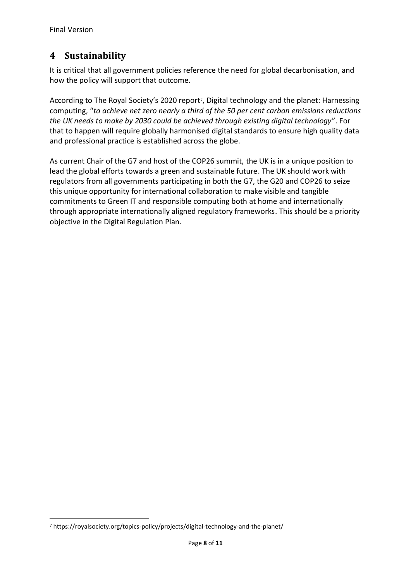#### <span id="page-7-0"></span>**4 Sustainability**

It is critical that all government policies reference the need for global decarbonisation, and how the policy will support that outcome.

According to The Royal Society's 2020 report<sup>7</sup>, Digital technology and the planet: Harnessing computing, "*to achieve net zero nearly a third of the 50 per cent carbon emissions reductions the UK needs to make by 2030 could be achieved through existing digital technology*". For that to happen will require globally harmonised digital standards to ensure high quality data and professional practice is established across the globe.

As current Chair of the G7 and host of the COP26 summit, the UK is in a unique position to lead the global efforts towards a green and sustainable future. The UK should work with regulators from all governments participating in both the G7, the G20 and COP26 to seize this unique opportunity for international collaboration to make visible and tangible commitments to Green IT and responsible computing both at home and internationally through appropriate internationally aligned regulatory frameworks. This should be a priority objective in the Digital Regulation Plan.

<sup>7</sup> https://royalsociety.org/topics-policy/projects/digital-technology-and-the-planet/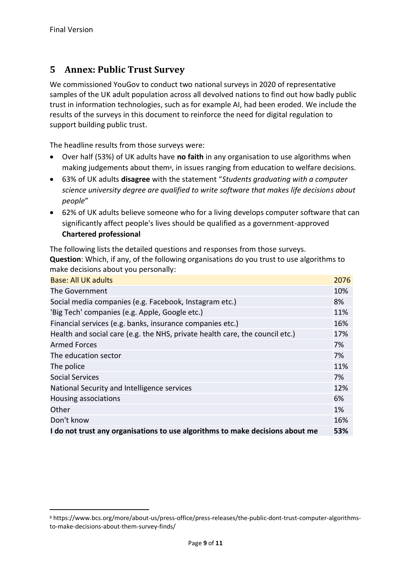#### <span id="page-8-0"></span>**5 Annex: Public Trust Survey**

We commissioned YouGov to conduct two national surveys in 2020 of representative samples of the UK adult population across all devolved nations to find out how badly public trust in information technologies, such as for example AI, had been eroded. We include the results of the surveys in this document to reinforce the need for digital regulation to support building public trust.

The headline results from those surveys were:

- Over half (53%) of UK adults have **no faith** in any organisation to use algorithms when making judgements about them<sup>8</sup>, in issues ranging from education to welfare decisions.
- 63% of UK adults **disagree** with the statement "*Students graduating with a computer science university degree are qualified to write software that makes life decisions about people*"
- 62% of UK adults believe someone who for a living develops computer software that can significantly affect people's lives should be qualified as a government-approved **Chartered professional**

The following lists the detailed questions and responses from those surveys. **Question**: Which, if any, of the following organisations do you trust to use algorithms to make decisions about you personally:

| <b>Base: All UK adults</b>                                                    | 2076 |
|-------------------------------------------------------------------------------|------|
| The Government                                                                | 10%  |
| Social media companies (e.g. Facebook, Instagram etc.)                        | 8%   |
| 'Big Tech' companies (e.g. Apple, Google etc.)                                | 11%  |
| Financial services (e.g. banks, insurance companies etc.)                     | 16%  |
| Health and social care (e.g. the NHS, private health care, the council etc.)  | 17%  |
| <b>Armed Forces</b>                                                           | 7%   |
| The education sector                                                          | 7%   |
| The police                                                                    | 11%  |
| <b>Social Services</b>                                                        | 7%   |
| National Security and Intelligence services                                   | 12%  |
| Housing associations                                                          | 6%   |
| Other                                                                         | 1%   |
| Don't know                                                                    | 16%  |
| I do not trust any organisations to use algorithms to make decisions about me | 53%  |

<sup>8</sup> https://www.bcs.org/more/about-us/press-office/press-releases/the-public-dont-trust-computer-algorithmsto-make-decisions-about-them-survey-finds/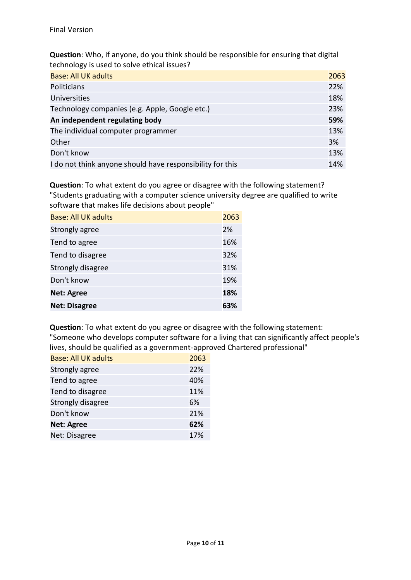**Question**: Who, if anyone, do you think should be responsible for ensuring that digital technology is used to solve ethical issues?

| <b>Base: All UK adults</b>                                | 2063 |
|-----------------------------------------------------------|------|
| Politicians                                               | 22%  |
| <b>Universities</b>                                       | 18%  |
| Technology companies (e.g. Apple, Google etc.)            | 23%  |
| An independent regulating body                            | 59%  |
| The individual computer programmer                        | 13%  |
| Other                                                     | 3%   |
| Don't know                                                | 13%  |
| I do not think anyone should have responsibility for this | 14%  |

**Question**: To what extent do you agree or disagree with the following statement? "Students graduating with a computer science university degree are qualified to write software that makes life decisions about people"

| Base: All UK adults  | 2063 |
|----------------------|------|
| Strongly agree       | 2%   |
| Tend to agree        | 16%  |
| Tend to disagree     | 32%  |
| Strongly disagree    | 31%  |
| Don't know           | 19%  |
| <b>Net: Agree</b>    | 18%  |
| <b>Net: Disagree</b> | 63%  |

**Question**: To what extent do you agree or disagree with the following statement: "Someone who develops computer software for a living that can significantly affect people's lives, should be qualified as a government-approved Chartered professional"

| <b>Base: All UK adults</b> | 2063 |
|----------------------------|------|
| Strongly agree             | 22%  |
| Tend to agree              | 40%  |
| Tend to disagree           | 11%  |
| Strongly disagree          | 6%   |
| Don't know                 | 21%  |
| <b>Net: Agree</b>          | 62%  |
| Net: Disagree              | 17%  |
|                            |      |